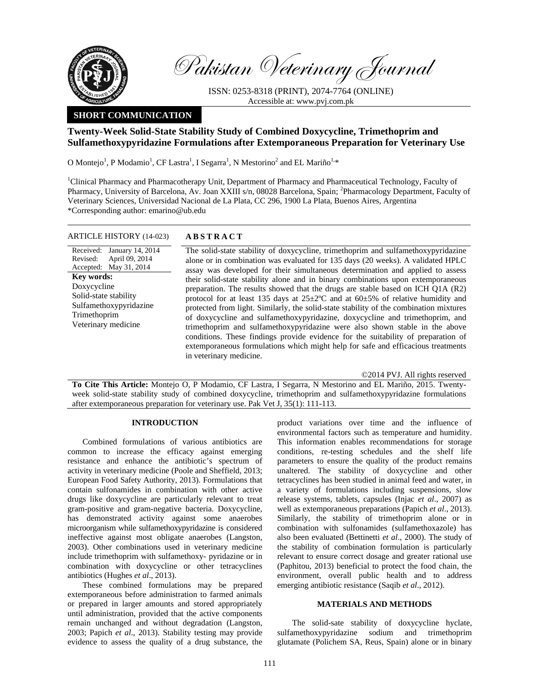

Pakistan Veterinary Journal

ISSN: 0253-8318 (PRINT), 2074-7764 (ONLINE) Accessible at: www.pvj.com.pk

# **SHORT COMMUNICATION**

# **Twenty-Week Solid-State Stability Study of Combined Doxycycline, Trimethoprim and Sulfamethoxypyridazine Formulations after Extemporaneous Preparation for Veterinary Use**

O Montejo<sup>1</sup>, P Modamio<sup>1</sup>, CF Lastra<sup>1</sup>, I Segarra<sup>1</sup>, N Mestorino<sup>2</sup> and EL Mariño<sup>1,\*</sup>

<sup>1</sup>Clinical Pharmacy and Pharmacotherapy Unit, Department of Pharmacy and Pharmaceutical Technology, Faculty of Pharmacy, University of Barcelona, Av. Joan XXIII s/n, 08028 Barcelona, Spain; <sup>2</sup>Pharmacology Department, Faculty of Veterinary Sciences, Universidad Nacional de La Plata, CC 296, 1900 La Plata, Buenos Aires, Argentina \*Corresponding author: emarino@ub.edu

## ARTICLE HISTORY (14-023) **ABSTRACT**

Received: January 14, 2014 Revised: Accepted: May 31, 2014 April 09, 2014 **Key words:**  Doxycycline Solid-state stability Sulfamethoxypyridazine Trimethoprim Veterinary medicine

 The solid-state stability of doxycycline, trimethoprim and sulfamethoxypyridazine alone or in combination was evaluated for 135 days (20 weeks). A validated HPLC assay was developed for their simultaneous determination and applied to assess their solid-state stability alone and in binary combinations upon extemporaneous preparation. The results showed that the drugs are stable based on ICH Q1A (R2) protocol for at least 135 days at  $25 \pm 2^{\circ}$ C and at  $60 \pm 5$ % of relative humidity and protected from light. Similarly, the solid-state stability of the combination mixtures of doxycycline and sulfamethoxypyridazine, doxycycline and trimethoprim, and trimethoprim and sulfamethoxypyridazine were also shown stable in the above conditions. These findings provide evidence for the suitability of preparation of extemporaneous formulations which might help for safe and efficacious treatments in veterinary medicine.

©2014 PVJ. All rights reserved

**To Cite This Article:** Montejo O, P Modamio, CF Lastra, I Segarra, N Mestorino and EL Mariño, 2015. Twentyweek solid-state stability study of combined doxycycline, trimethoprim and sulfamethoxypyridazine formulations after extemporaneous preparation for veterinary use. Pak Vet J, 35(1): 111-113.

## **INTRODUCTION**

Combined formulations of various antibiotics are common to increase the efficacy against emerging resistance and enhance the antibiotic's spectrum of activity in veterinary medicine (Poole and Sheffield, 2013; European Food Safety Authority, 2013). Formulations that contain sulfonamides in combination with other active drugs like doxycycline are particularly relevant to treat gram-positive and gram-negative bacteria. Doxycycline, has demonstrated activity against some anaerobes microorganism while sulfamethoxypyridazine is considered ineffective against most obligate anaerobes (Langston, 2003). Other combinations used in veterinary medicine include trimethoprim with sulfamethoxy- pyridazine or in combination with doxycycline or other tetracyclines antibiotics (Hughes *et al*., 2013).

These combined formulations may be prepared extemporaneous before administration to farmed animals or prepared in larger amounts and stored appropriately until administration, provided that the active components remain unchanged and without degradation (Langston, 2003; Papich *et al*., 2013). Stability testing may provide evidence to assess the quality of a drug substance, the

product variations over time and the influence of environmental factors such as temperature and humidity. This information enables recommendations for storage conditions, re-testing schedules and the shelf life parameters to ensure the quality of the product remains unaltered. The stability of doxycycline and other tetracyclines has been studied in animal feed and water, in a variety of formulations including suspensions, slow release systems, tablets, capsules (Injac *et al*., 2007) as well as extemporaneous preparations (Papich *et al*., 2013). Similarly, the stability of trimethoprim alone or in combination with sulfonamides (sulfamethoxazole) has also been evaluated (Bettinetti *et al*., 2000). The study of the stability of combination formulation is particularly relevant to ensure correct dosage and greater rational use (Paphitou, 2013) beneficial to protect the food chain, the environment, overall public health and to address emerging antibiotic resistance (Saqib *et al*., 2012).

## **MATERIALS AND METHODS**

The solid-sate stability of doxycycline hyclate, sulfamethoxypyridazine sodium and trimethoprim glutamate (Polichem SA, Reus, Spain) alone or in binary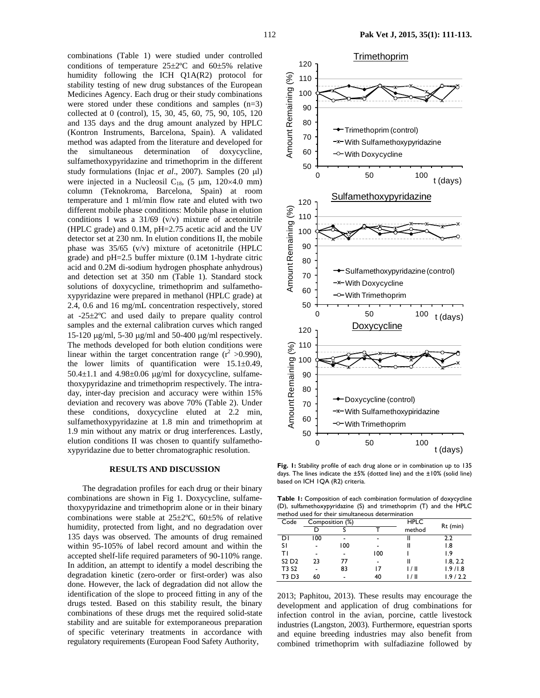combinations (Table 1) were studied under controlled conditions of temperature 25±2ºC and 60±5% relative humidity following the ICH Q1A(R2) protocol for stability testing of new drug substances of the European Medicines Agency. Each drug or their study combinations were stored under these conditions and samples (n=3) collected at 0 (control), 15, 30, 45, 60, 75, 90, 105, 120 and 135 days and the drug amount analyzed by HPLC (Kontron Instruments, Barcelona, Spain). A validated method was adapted from the literature and developed for the simultaneous determination of doxycycline, sulfamethoxypyridazine and trimethoprim in the different study formulations (Injac *et al*., 2007). Samples (20 µl) were injected in a Nucleosil C<sub>18</sub>,  $(5 \mu m, 120 \times 4.0 \text{ mm})$ column (Teknokroma, Barcelona, Spain) at room temperature and 1 ml/min flow rate and eluted with two different mobile phase conditions: Mobile phase in elution conditions I was a  $31/69$  (v/v) mixture of acetonitrile (HPLC grade) and 0.1M, pH=2.75 acetic acid and the UV detector set at 230 nm. In elution conditions II, the mobile phase was 35/65 (v/v) mixture of acetonitrile (HPLC grade) and pH=2.5 buffer mixture (0.1M 1-hydrate citric acid and 0.2M di-sodium hydrogen phosphate anhydrous) and detection set at 350 nm (Table 1). Standard stock solutions of doxycycline, trimethoprim and sulfamethoxypyridazine were prepared in methanol (HPLC grade) at 2.4, 0.6 and 16 mg/mL concentration respectively, stored at -25±2ºC and used daily to prepare quality control samples and the external calibration curves which ranged 15-120 µg/ml, 5-30 µg/ml and 50-400 µg/ml respectively. The methods developed for both elution conditions were linear within the target concentration range  $(r^2 > 0.990)$ , the lower limits of quantification were  $15.1 \pm 0.49$ , 50.4 $\pm$ 1.1 and 4.98 $\pm$ 0.06 µg/ml for doxycycline, sulfamethoxypyridazine and trimethoprim respectively. The intraday, inter-day precision and accuracy were within 15% deviation and recovery was above 70% (Table 2). Under these conditions, doxycycline eluted at 2.2 min, sulfamethoxypyridazine at 1.8 min and trimethoprim at 1.9 min without any matrix or drug interferences. Lastly, elution conditions II was chosen to quantify sulfamethoxypyridazine due to better chromatographic resolution.

#### **RESULTS AND DISCUSSION**

The degradation profiles for each drug or their binary combinations are shown in Fig 1. Doxycycline, sulfamethoxypyridazine and trimethoprim alone or in their binary combinations were stable at 25±2ºC, 60±5% of relative humidity, protected from light, and no degradation over 135 days was observed. The amounts of drug remained within 95-105% of label record amount and within the accepted shelf-life required parameters of 90-110% range. In addition, an attempt to identify a model describing the degradation kinetic (zero-order or first-order) was also done. However, the lack of degradation did not allow the identification of the slope to proceed fitting in any of the drugs tested. Based on this stability result, the binary combinations of these drugs met the required solid-state stability and are suitable for extemporaneous preparation of specific veterinary treatments in accordance with regulatory requirements (European Food Safety Authority,



Fig. 1: Stability profile of each drug alone or in combination up to 135 days. The lines indicate the ±5% (dotted line) and the ±10% (solid line) based on ICH 1QA (R2) criteria.

**Table 1:** Composition of each combination formulation of doxycycline (D), sulfamethoxypyridazine (S) and trimethoprim (T) and the HPLC method used for their simultaneous determination

| <u>INCLIDU USCU IDI LIICII SIIIUKAIICOUS UCLCIIIIIIALIOII</u> |     |                 |      |        |          |  |  |  |  |  |
|---------------------------------------------------------------|-----|-----------------|------|--------|----------|--|--|--|--|--|
| Code                                                          |     | Composition (%) | HPLC |        |          |  |  |  |  |  |
|                                                               |     |                 |      | method | Rt (min) |  |  |  |  |  |
| DΙ                                                            | 100 |                 |      |        | 2.2      |  |  |  |  |  |
| s١                                                            |     | 100             |      |        | 1.8      |  |  |  |  |  |
| ΤI                                                            |     |                 | 100  |        | 1.9      |  |  |  |  |  |
| S <sub>2</sub> D <sub>2</sub>                                 | 23  | 77              |      |        | 1.8, 2.2 |  |  |  |  |  |
| T3 S2                                                         |     | 83              |      | 1/11   | 1.9/1.8  |  |  |  |  |  |
| T3 D3                                                         | 60  |                 | 40   | ' / II | 1.9/2.2  |  |  |  |  |  |
|                                                               |     |                 |      |        |          |  |  |  |  |  |

2013; Paphitou, 2013). These results may encourage the development and application of drug combinations for infection control in the avian, porcine, cattle livestock industries (Langston, 2003). Furthermore, equestrian sports and equine breeding industries may also benefit from combined trimethoprim with sulfadiazine followed by